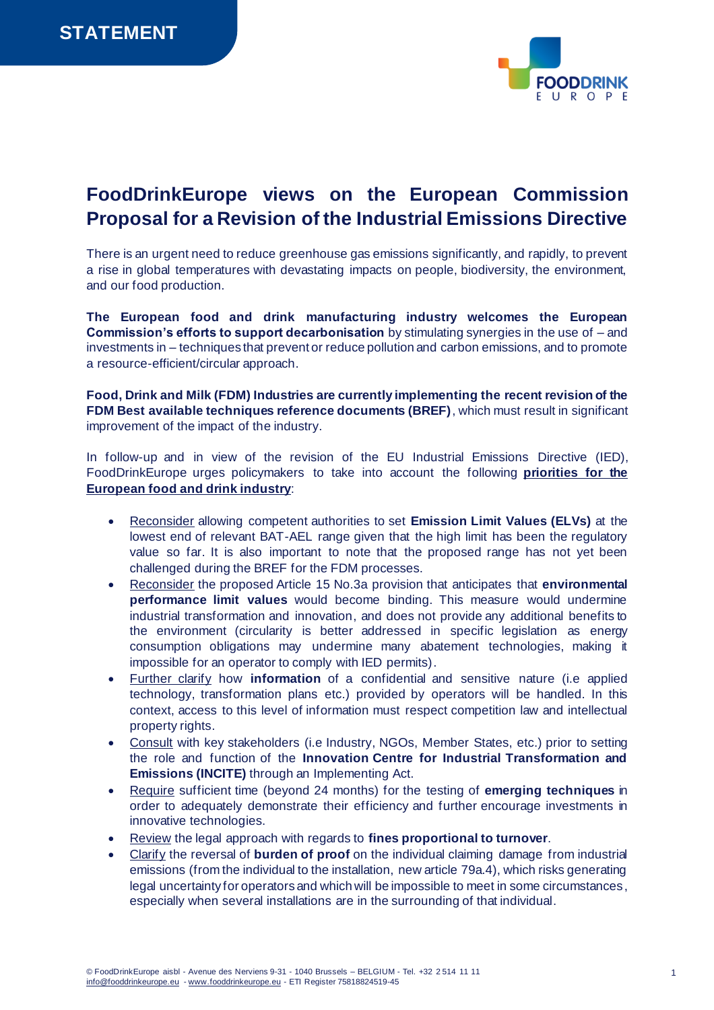

## **FoodDrinkEurope views on the European Commission Proposal for a Revision of the Industrial Emissions Directive**

There is an urgent need to reduce greenhouse gas emissions significantly, and rapidly, to prevent a rise in global temperatures with devastating impacts on people, biodiversity, the environment, and our food production.

**The European food and drink manufacturing industry welcomes the European Commission's efforts to support decarbonisation** by stimulating synergies in the use of – and investments in – techniques that prevent or reduce pollution and carbon emissions, and to promote a resource-efficient/circular approach.

**Food, Drink and Milk (FDM) Industries are currently implementing the recent revision of the FDM Best available techniques reference documents (BREF)**, which must result in significant improvement of the impact of the industry.

In follow-up and in view of the revision of the EU Industrial Emissions Directive (IED), FoodDrinkEurope urges policymakers to take into account the following **priorities for the European food and drink industry**:

- Reconsider allowing competent authorities to set **Emission Limit Values (ELVs)** at the lowest end of relevant BAT-AEL range given that the high limit has been the regulatory value so far. It is also important to note that the proposed range has not yet been challenged during the BREF for the FDM processes.
- Reconsider the proposed Article 15 No.3a provision that anticipates that **environmental performance limit values** would become binding. This measure would undermine industrial transformation and innovation, and does not provide any additional benefits to the environment (circularity is better addressed in specific legislation as energy consumption obligations may undermine many abatement technologies, making it impossible for an operator to comply with IED permits).
- Further clarify how **information** of a confidential and sensitive nature (i.e applied technology, transformation plans etc.) provided by operators will be handled. In this context, access to this level of information must respect competition law and intellectual property rights.
- Consult with key stakeholders (i.e Industry, NGOs, Member States, etc.) prior to setting the role and function of the **Innovation Centre for Industrial Transformation and Emissions (INCITE)** through an Implementing Act.
- Require sufficient time (beyond 24 months) for the testing of **emerging techniques** in order to adequately demonstrate their efficiency and further encourage investments in innovative technologies.
- Review the legal approach with regards to **fines proportional to turnover**.
- Clarify the reversal of **burden of proof** on the individual claiming damage from industrial emissions (from the individual to the installation, new article 79a.4), which risks generating legal uncertainty for operators and which will be impossible to meet in some circumstances, especially when several installations are in the surrounding of that individual.